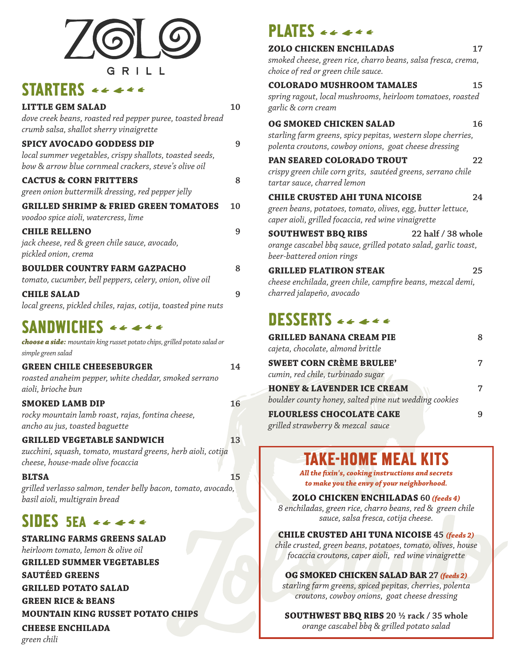

# STARTERS  $e \leftarrow$

| <b>LITTLE GEM SALAD</b><br>dove creek beans, roasted red pepper puree, toasted bread<br>crumb salsa, shallot sherry vinaigrette                       | 10 |
|-------------------------------------------------------------------------------------------------------------------------------------------------------|----|
| <b>SPICY AVOCADO GODDESS DIP</b><br>local summer vegetables, crispy shallots, toasted seeds,<br>bow & arrow blue cornmeal crackers, steve's olive oil | 9  |
| <b>CACTUS &amp; CORN FRITTERS</b><br>green onion buttermilk dressing, red pepper jelly                                                                | 8  |
| <b>GRILLED SHRIMP &amp; FRIED GREEN TOMATOES</b><br>voodoo spice aioli, watercress, lime                                                              | 10 |
| <b>CHILE RELLENO</b><br>jack cheese, red & green chile sauce, avocado,<br>pickled onion, crema                                                        | 9  |
| <b>BOULDER COUNTRY FARM GAZPACHO</b><br>tomato, cucumber, bell peppers, celery, onion, olive oil                                                      | 8  |
| <b>CHILE SALAD</b><br>local greens, pickled chiles, rajas, cotija, toasted pine nuts                                                                  | 9  |

# SANDWICHES  $\leftarrow$  + + +

| <b>choose a side:</b> mountain king russet potato chips, grilled potato salad or |    |
|----------------------------------------------------------------------------------|----|
| simple green salad                                                               |    |
| <b>GREEN CHILE CHEESEBURGER</b>                                                  | 14 |

| Green Chile Cheeseborger                              | . . |
|-------------------------------------------------------|-----|
| roasted anaheim pepper, white cheddar, smoked serrano |     |
| aioli, brioche bun                                    |     |
| <b>SMOKED LAMB DIP</b>                                | 16  |

*rocky mountain lamb roast, rajas, fontina cheese, ancho au jus, toasted baguette*

## **GRILLED VEGETABLE SANDWICH 13**

*zucchini, squash, tomato, mustard greens, herb aioli, cotija cheese, house-made olive focaccia*

#### **BLTSA 15**

*grilled verlasso salmon, tender belly bacon, tomato, avocado, basil aioli, multigrain bread*

# SIDES 5EA <<<<<

**STARLING FARMS GREENS SALAD** *heirloom tomato, lemon & olive oil*

**GRILLED SUMMER VEGETABLES**

**SAUTÉED GREENS**

**GRILLED POTATO SALAD**

**GREEN RICE & BEANS**

**MOUNTAIN KING RUSSET POTATO CHIPS**

### **CHEESE ENCHILADA**

*green chili*

# PLATES  $\epsilon \epsilon \ll \epsilon$

| <b>ZOLO CHICKEN ENCHILADAS</b><br>smoked cheese, green rice, charro beans, salsa fresca, crema,<br>choice of red or green chile sauce.                      | 17 |
|-------------------------------------------------------------------------------------------------------------------------------------------------------------|----|
| <b>COLORADO MUSHROOM TAMALES</b><br>spring ragout, local mushrooms, heirloom tomatoes, roasted<br>garlic & corn cream                                       | 15 |
| OG SMOKED CHICKEN SALAD<br>starling farm greens, spicy pepitas, western slope cherries,<br>polenta croutons, cowboy onions, goat cheese dressing            | 16 |
| PAN SEARED COLORADO TROUT<br>crispy green chile corn grits, sautéed greens, serrano chile<br>tartar sauce, charred lemon                                    | 22 |
| <b>CHILE CRUSTED AHI TUNA NICOISE</b><br>green beans, potatoes, tomato, olives, egg, butter lettuce,<br>caper aioli, grilled focaccia, red wine vinaigrette | 24 |
| <b>SOUTHWEST BBQ RIBS</b><br>22 half / 38 whole<br>orange cascabel bbq sauce, grilled potato salad, garlic toast,<br>beer-battered onion rings              |    |
| <b>GRILLED FLATIRON STEAK</b><br>cheese enchilada, green chile, campfire beans, mezcal demi,<br>charred jalapeño, avocado                                   | 25 |
| DESSERTS $\leftarrow$ $\leftarrow$ $\leftarrow$ $\leftarrow$                                                                                                |    |
| <b>GRILLED BANANA CREAM PIE</b><br>cajeta, chocolate, almond brittle                                                                                        | 8  |
| <b>SWEET CORN CRÈME BRULEE'</b><br>cumin, red chile, turbinado sugar                                                                                        | 7  |
| <b>HONEY &amp; LAVENDER ICE CREAM</b>                                                                                                                       | 7  |

**FLOURLESS CHOCOLATE CAKE 9** *grilled strawberry & mezcal sauce*

# TAKE-HOME MEAL KITS

*boulder county honey, salted pine nut wedding cookies*

*All the fixin's, cooking instructions and secrets to make you the envy of your neighborhood.*

#### **ZOLO CHICKEN ENCHILADAS 60** *(feeds 4)*

*8 enchiladas, green rice, charro beans, red & green chile sauce, salsa fresca, cotija cheese.* 

#### **CHILE CRUSTED AHI TUNA NICOISE 45** *(feeds 2)*

*chile crusted, green beans, potatoes, tomato, olives, house focaccia croutons, caper aioli, red wine vinaigrette*

#### **OG SMOKED CHICKEN SALAD BAR 27** *(feeds 2)*

*starling farm greens, spiced pepitas, cherries, polenta croutons, cowboy onions, goat cheese dressing* 

**SOUTHWEST BBQ RIBS 20 ½ rack / 35 whole** *orange cascabel bbq & grilled potato salad*